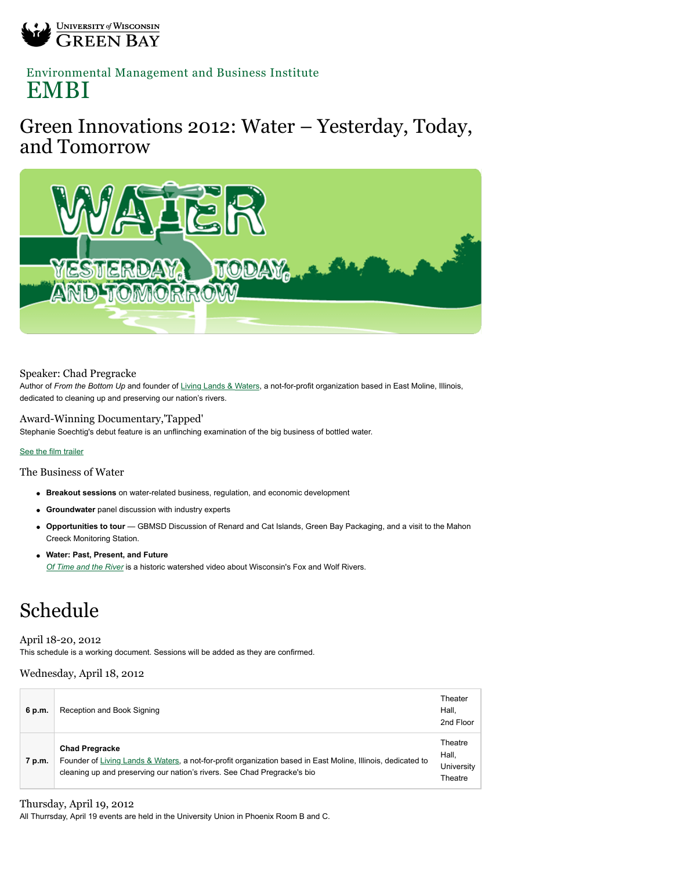

## [Environmental Management and Business Institute](http://www.uwgb.edu/embi/) EMBI

## Green Innovations 2012: Water – Yesterday, Today, and Tomorrow



### Speaker: Chad Pregracke

Author of *From the Bottom Up* and founder of [Living Lands & Waters](http://www.livinglandsandwaters.org/), a not-for-profit organization based in East Moline, Illinois, dedicated to cleaning up and preserving our nation's rivers.

### Award-Winning Documentary,'Tapped'

Stephanie Soechtig's debut feature is an unflinching examination of the big business of bottled water.

#### [See the film trailer](http://www.tappedthemovie.com/)

The Business of Water

- **Breakout sessions** on water-related business, regulation, and economic development
- **Groundwater** panel discussion with industry experts
- **Opportunities to tour** GBMSD Discussion of Renard and Cat Islands, Green Bay Packaging, and a visit to the Mahon Creeck Monitoring Station.
- **Water: Past, Present, and Future** *[Of Time and the River](http://www.kaltura.com/index.php/kwidget/wid/_408311/uiconf_id/2686111/entry_id/1_oqpagrd2)* is a historic watershed video about Wisconsin's Fox and Wolf Rivers.

# Schedule

### April 18-20, 2012

This schedule is a working document. Sessions will be added as they are confirmed.

### Wednesday, April 18, 2012

| 6 p.m. | Reception and Book Signing                                                                                                                                                                                        | Theater<br>Hall.<br>2nd Floor             |
|--------|-------------------------------------------------------------------------------------------------------------------------------------------------------------------------------------------------------------------|-------------------------------------------|
| 7 p.m. | <b>Chad Pregracke</b><br>Founder of Living Lands & Waters, a not-for-profit organization based in East Moline, Illinois, dedicated to<br>cleaning up and preserving our nation's rivers. See Chad Pregracke's bio | Theatre<br>Hall.<br>University<br>Theatre |

### Thursday, April 19, 2012

All Thurrsday, April 19 events are held in the University Union in Phoenix Room B and C.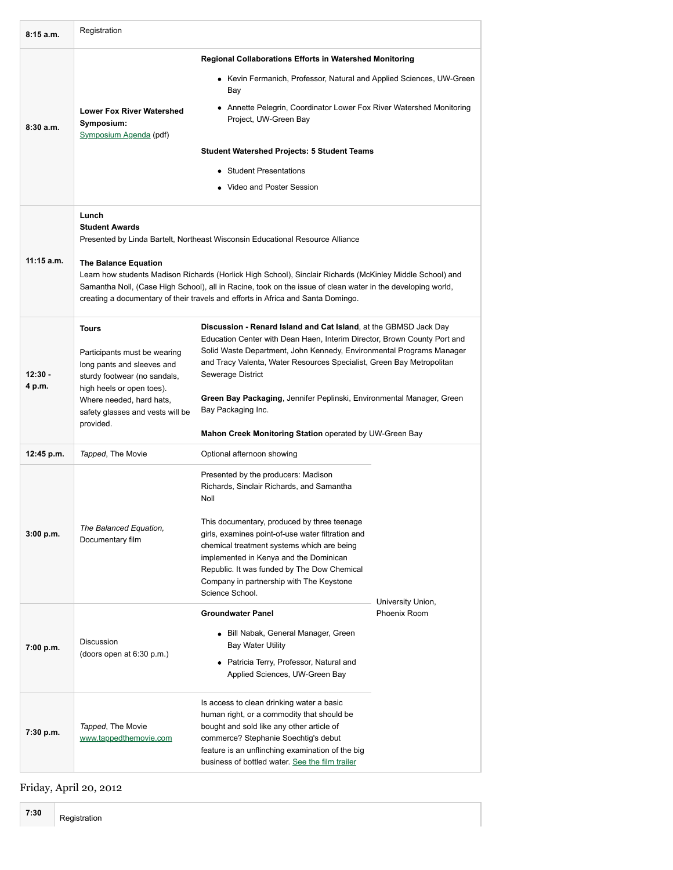| 8:15a.m.            | Registration                                                                                                                                                                                                                                                                                                                                                                                                                                                   |                                                                                                                                                                                                                                                                                                                                                                                                                                                                              |                   |  |  |  |
|---------------------|----------------------------------------------------------------------------------------------------------------------------------------------------------------------------------------------------------------------------------------------------------------------------------------------------------------------------------------------------------------------------------------------------------------------------------------------------------------|------------------------------------------------------------------------------------------------------------------------------------------------------------------------------------------------------------------------------------------------------------------------------------------------------------------------------------------------------------------------------------------------------------------------------------------------------------------------------|-------------------|--|--|--|
|                     | <b>Regional Collaborations Efforts in Watershed Monitoring</b>                                                                                                                                                                                                                                                                                                                                                                                                 |                                                                                                                                                                                                                                                                                                                                                                                                                                                                              |                   |  |  |  |
|                     |                                                                                                                                                                                                                                                                                                                                                                                                                                                                | • Kevin Fermanich, Professor, Natural and Applied Sciences, UW-Green<br>Bay                                                                                                                                                                                                                                                                                                                                                                                                  |                   |  |  |  |
| 8:30a.m.            | <b>Lower Fox River Watershed</b><br>Symposium:                                                                                                                                                                                                                                                                                                                                                                                                                 | • Annette Pelegrin, Coordinator Lower Fox River Watershed Monitoring<br>Project, UW-Green Bay                                                                                                                                                                                                                                                                                                                                                                                |                   |  |  |  |
|                     | Symposium Agenda (pdf)                                                                                                                                                                                                                                                                                                                                                                                                                                         | <b>Student Watershed Projects: 5 Student Teams</b>                                                                                                                                                                                                                                                                                                                                                                                                                           |                   |  |  |  |
|                     |                                                                                                                                                                                                                                                                                                                                                                                                                                                                | • Student Presentations                                                                                                                                                                                                                                                                                                                                                                                                                                                      |                   |  |  |  |
|                     |                                                                                                                                                                                                                                                                                                                                                                                                                                                                | • Video and Poster Session                                                                                                                                                                                                                                                                                                                                                                                                                                                   |                   |  |  |  |
| $11:15$ a.m.        | Lunch<br><b>Student Awards</b><br>Presented by Linda Bartelt, Northeast Wisconsin Educational Resource Alliance<br><b>The Balance Equation</b><br>Learn how students Madison Richards (Horlick High School), Sinclair Richards (McKinley Middle School) and<br>Samantha Noll, (Case High School), all in Racine, took on the issue of clean water in the developing world,<br>creating a documentary of their travels and efforts in Africa and Santa Domingo. |                                                                                                                                                                                                                                                                                                                                                                                                                                                                              |                   |  |  |  |
| $12:30 -$<br>4 p.m. | <b>Tours</b><br>Participants must be wearing<br>long pants and sleeves and<br>sturdy footwear (no sandals,<br>high heels or open toes).<br>Where needed, hard hats,<br>safety glasses and vests will be<br>provided.                                                                                                                                                                                                                                           | Discussion - Renard Island and Cat Island, at the GBMSD Jack Day<br>Education Center with Dean Haen, Interim Director, Brown County Port and<br>Solid Waste Department, John Kennedy, Environmental Programs Manager<br>and Tracy Valenta, Water Resources Specialist, Green Bay Metropolitan<br>Sewerage District<br>Green Bay Packaging, Jennifer Peplinski, Environmental Manager, Green<br>Bay Packaging Inc.<br>Mahon Creek Monitoring Station operated by UW-Green Bay |                   |  |  |  |
| 12:45 p.m.          | Tapped, The Movie                                                                                                                                                                                                                                                                                                                                                                                                                                              | Optional afternoon showing                                                                                                                                                                                                                                                                                                                                                                                                                                                   |                   |  |  |  |
| 3:00 p.m.           | The Balanced Equation,<br>Documentary film                                                                                                                                                                                                                                                                                                                                                                                                                     | Presented by the producers: Madison<br>Richards, Sinclair Richards, and Samantha<br>Noll<br>This documentary, produced by three teenage<br>girls, examines point-of-use water filtration and                                                                                                                                                                                                                                                                                 |                   |  |  |  |
|                     |                                                                                                                                                                                                                                                                                                                                                                                                                                                                | chemical treatment systems which are being<br>implemented in Kenya and the Dominican<br>Republic. It was funded by The Dow Chemical<br>Company in partnership with The Keystone<br>Science School.                                                                                                                                                                                                                                                                           | University Union, |  |  |  |
|                     | Discussion                                                                                                                                                                                                                                                                                                                                                                                                                                                     | <b>Groundwater Panel</b>                                                                                                                                                                                                                                                                                                                                                                                                                                                     | Phoenix Room      |  |  |  |
| 7:00 p.m.           |                                                                                                                                                                                                                                                                                                                                                                                                                                                                | • Bill Nabak, General Manager, Green<br><b>Bay Water Utility</b>                                                                                                                                                                                                                                                                                                                                                                                                             |                   |  |  |  |
|                     | (doors open at $6:30$ p.m.)                                                                                                                                                                                                                                                                                                                                                                                                                                    | • Patricia Terry, Professor, Natural and<br>Applied Sciences, UW-Green Bay                                                                                                                                                                                                                                                                                                                                                                                                   |                   |  |  |  |
| 7:30 p.m.           | Tapped, The Movie<br>www.tappedthemovie.com                                                                                                                                                                                                                                                                                                                                                                                                                    | Is access to clean drinking water a basic<br>human right, or a commodity that should be<br>bought and sold like any other article of<br>commerce? Stephanie Soechtig's debut<br>feature is an unflinching examination of the big<br>business of bottled water. See the film trailer                                                                                                                                                                                          |                   |  |  |  |

### Friday, April 20, 2012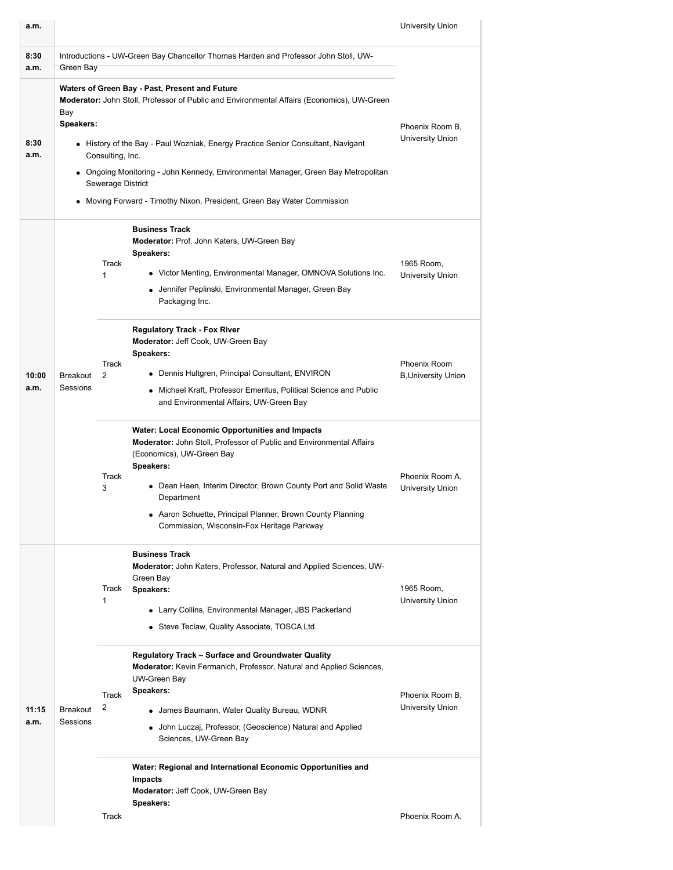| a.m.          |                                                                                                  |                                       |                                                                                                                                                                                                                                                                                                                                                                                                   | University Union                           |  |
|---------------|--------------------------------------------------------------------------------------------------|---------------------------------------|---------------------------------------------------------------------------------------------------------------------------------------------------------------------------------------------------------------------------------------------------------------------------------------------------------------------------------------------------------------------------------------------------|--------------------------------------------|--|
| 8:30<br>a.m.  | Introductions - UW-Green Bay Chancellor Thomas Harden and Professor John Stoll, UW-<br>Green Bay |                                       |                                                                                                                                                                                                                                                                                                                                                                                                   |                                            |  |
| 8:30<br>a.m.  | Bay<br>Speakers:                                                                                 | Consulting, Inc.<br>Sewerage District | Waters of Green Bay - Past, Present and Future<br>Moderator: John Stoll, Professor of Public and Environmental Affairs (Economics), UW-Green<br>• History of the Bay - Paul Wozniak, Energy Practice Senior Consultant, Navigant<br>• Ongoing Monitoring - John Kennedy, Environmental Manager, Green Bay Metropolitan<br>• Moving Forward - Timothy Nixon, President, Green Bay Water Commission | Phoenix Room B,<br>University Union        |  |
|               | <b>Breakout</b><br>Sessions                                                                      | Track<br>1                            | <b>Business Track</b><br>Moderator: Prof. John Katers, UW-Green Bay<br><b>Speakers:</b><br>• Victor Menting, Environmental Manager, OMNOVA Solutions Inc.<br>• Jennifer Peplinski, Environmental Manager, Green Bay<br>Packaging Inc.                                                                                                                                                             | 1965 Room,<br>University Union             |  |
| 10:00<br>a.m. |                                                                                                  | Track<br>2                            | <b>Regulatory Track - Fox River</b><br>Moderator: Jeff Cook, UW-Green Bay<br>Speakers:<br>• Dennis Hultgren, Principal Consultant, ENVIRON<br>• Michael Kraft, Professor Emeritus, Political Science and Public<br>and Environmental Affairs, UW-Green Bay                                                                                                                                        | Phoenix Room<br><b>B, University Union</b> |  |
|               |                                                                                                  | Track<br>3                            | <b>Water: Local Economic Opportunities and Impacts</b><br>Moderator: John Stoll, Professor of Public and Environmental Affairs<br>(Economics), UW-Green Bay<br>Speakers:<br>• Dean Haen, Interim Director, Brown County Port and Solid Waste<br>Department<br>• Aaron Schuette, Principal Planner, Brown County Planning<br>Commission, Wisconsin-Fox Heritage Parkway                            | Phoenix Room A,<br><b>University Union</b> |  |
|               |                                                                                                  | Track<br>1                            | <b>Business Track</b><br>Moderator: John Katers, Professor, Natural and Applied Sciences, UW-<br>Green Bay<br>Speakers:<br>• Larry Collins, Environmental Manager, JBS Packerland<br>• Steve Teclaw, Quality Associate, TOSCA Ltd.                                                                                                                                                                | 1965 Room,<br><b>University Union</b>      |  |
| 11:15<br>a.m. | <b>Breakout</b><br>Sessions                                                                      | <b>Track</b><br>2                     | Regulatory Track - Surface and Groundwater Quality<br>Moderator: Kevin Fermanich, Professor, Natural and Applied Sciences,<br>UW-Green Bay<br>Speakers:<br>• James Baumann, Water Quality Bureau, WDNR<br>• John Luczaj, Professor, (Geoscience) Natural and Applied<br>Sciences, UW-Green Bay                                                                                                    | Phoenix Room B,<br>University Union        |  |
|               |                                                                                                  |                                       | Water: Regional and International Economic Opportunities and<br><b>Impacts</b><br>Moderator: Jeff Cook, UW-Green Bay<br>Speakers:                                                                                                                                                                                                                                                                 |                                            |  |
|               |                                                                                                  | Track                                 |                                                                                                                                                                                                                                                                                                                                                                                                   | Phoenix Room A.                            |  |